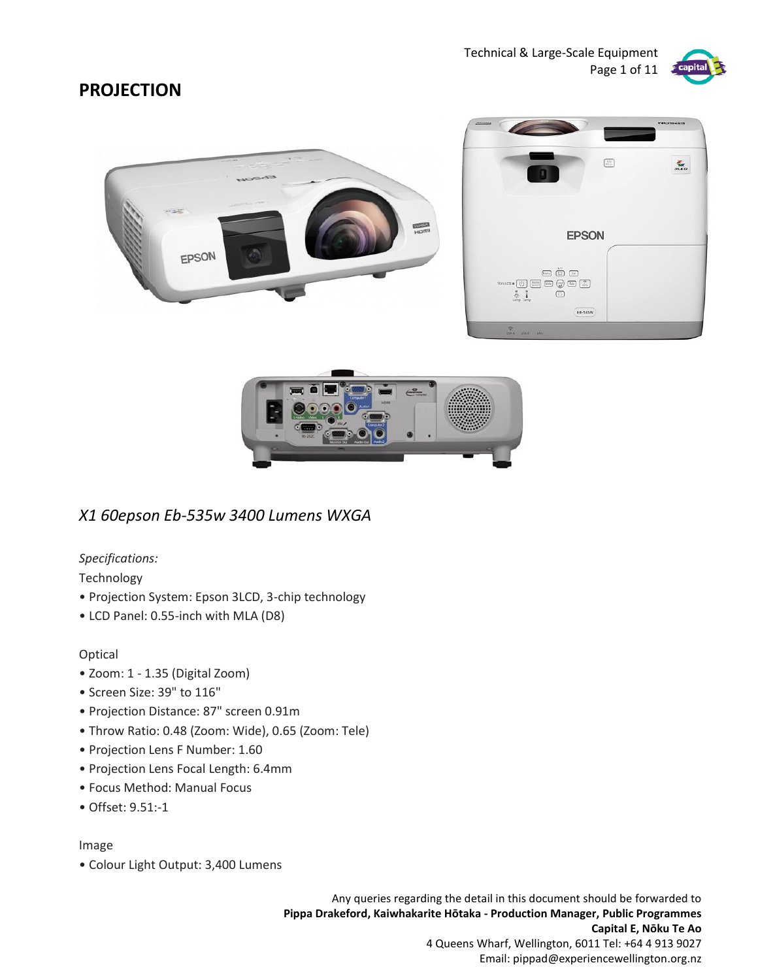

## **PROJECTION**



### *X1 60epson Eb-535w 3400 Lumens WXGA*

### *Specifications:*

Technology

- Projection System: Epson 3LCD, 3-chip technology
- LCD Panel: 0.55-inch with MLA (D8)

### Optical

- Zoom: 1 1.35 (Digital Zoom)
- Screen Size: 39" to 116"
- Projection Distance: 87" screen 0.91m
- Throw Ratio: 0.48 (Zoom: Wide), 0.65 (Zoom: Tele)
- Projection Lens F Number: 1.60
- Projection Lens Focal Length: 6.4mm
- Focus Method: Manual Focus
- Offset: 9.51:-1

#### Image

• Colour Light Output: 3,400 Lumens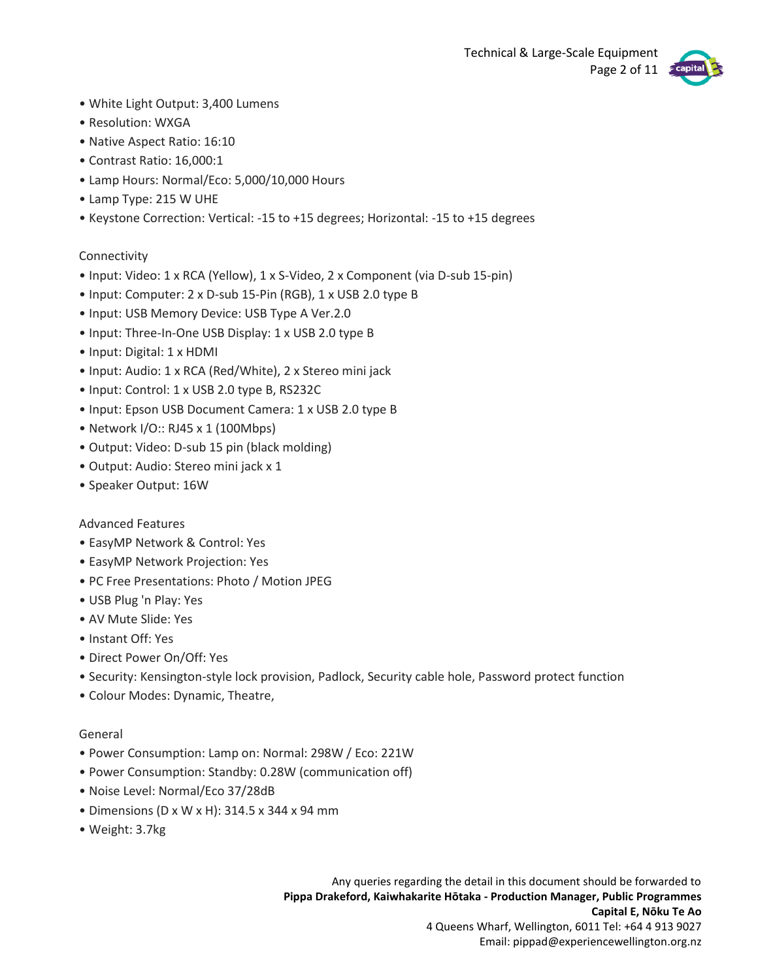Technical & Large-Scale Equipment Page 2 of 11



- White Light Output: 3,400 Lumens
- Resolution: WXGA
- Native Aspect Ratio: 16:10
- Contrast Ratio: 16,000:1
- Lamp Hours: Normal/Eco: 5,000/10,000 Hours
- Lamp Type: 215 W UHE
- Keystone Correction: Vertical: -15 to +15 degrees; Horizontal: -15 to +15 degrees

### Connectivity

- Input: Video: 1 x RCA (Yellow), 1 x S-Video, 2 x Component (via D-sub 15-pin)
- Input: Computer: 2 x D-sub 15-Pin (RGB), 1 x USB 2.0 type B
- Input: USB Memory Device: USB Type A Ver.2.0
- Input: Three-In-One USB Display: 1 x USB 2.0 type B
- Input: Digital: 1 x HDMI
- Input: Audio: 1 x RCA (Red/White), 2 x Stereo mini jack
- Input: Control: 1 x USB 2.0 type B, RS232C
- Input: Epson USB Document Camera: 1 x USB 2.0 type B
- Network I/O:: RJ45 x 1 (100Mbps)
- Output: Video: D-sub 15 pin (black molding)
- Output: Audio: Stereo mini jack x 1
- Speaker Output: 16W

### Advanced Features

- EasyMP Network & Control: Yes
- EasyMP Network Projection: Yes
- PC Free Presentations: Photo / Motion JPEG
- USB Plug 'n Play: Yes
- AV Mute Slide: Yes
- Instant Off: Yes
- Direct Power On/Off: Yes
- Security: Kensington-style lock provision, Padlock, Security cable hole, Password protect function
- Colour Modes: Dynamic, Theatre,

### General

- Power Consumption: Lamp on: Normal: 298W / Eco: 221W
- Power Consumption: Standby: 0.28W (communication off)
- Noise Level: Normal/Eco 37/28dB
- Dimensions (D x W x H): 314.5 x 344 x 94 mm
- Weight: 3.7kg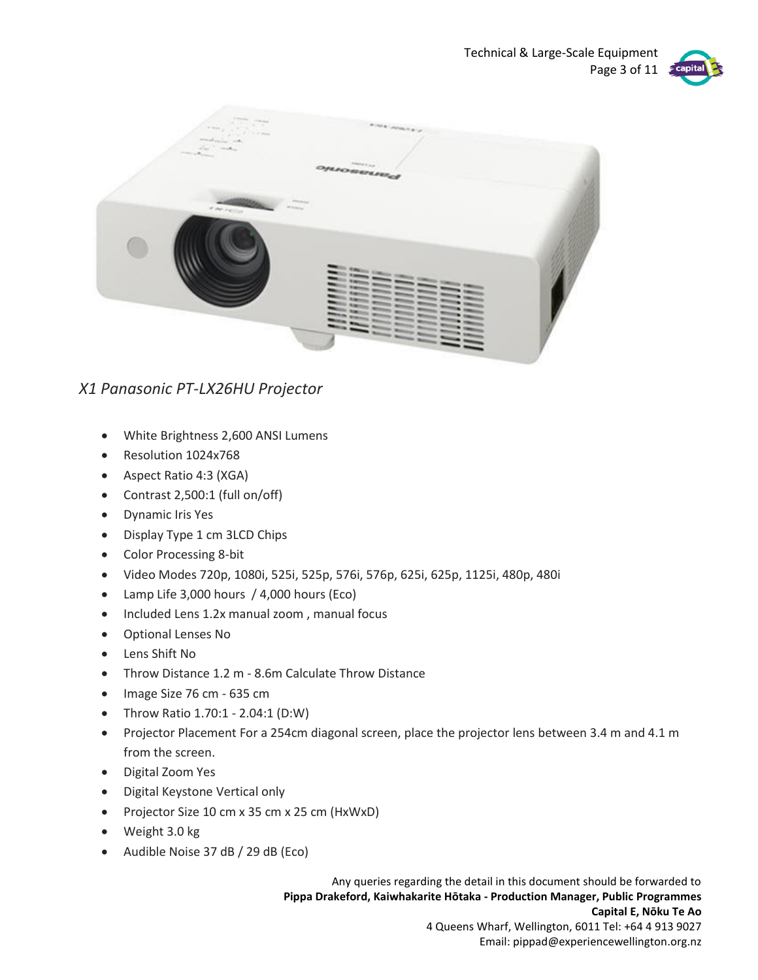Technical & Large-Scale Equipment Page 3 of 11



### *X1 Panasonic PT-LX26HU Projector*

- White Brightness 2,600 ANSI Lumens
- Resolution 1024x768
- Aspect Ratio 4:3 (XGA)
- Contrast 2,500:1 (full on/off)
- Dynamic Iris Yes
- Display Type 1 cm 3LCD Chips
- Color Processing 8-bit
- Video Modes 720p, 1080i, 525i, 525p, 576i, 576p, 625i, 625p, 1125i, 480p, 480i
- Lamp Life 3,000 hours / 4,000 hours (Eco)
- Included Lens 1.2x manual zoom , manual focus
- Optional Lenses No
- Lens Shift No
- Throw Distance 1.2 m 8.6m Calculate Throw Distance
- Image Size 76 cm 635 cm
- Throw Ratio 1.70:1 2.04:1 (D:W)
- Projector Placement For a 254cm diagonal screen, place the projector lens between 3.4 m and 4.1 m from the screen.
- Digital Zoom Yes
- Digital Keystone Vertical only
- Projector Size 10 cm x 35 cm x 25 cm (HxWxD)
- Weight 3.0 kg
- Audible Noise 37 dB / 29 dB (Eco)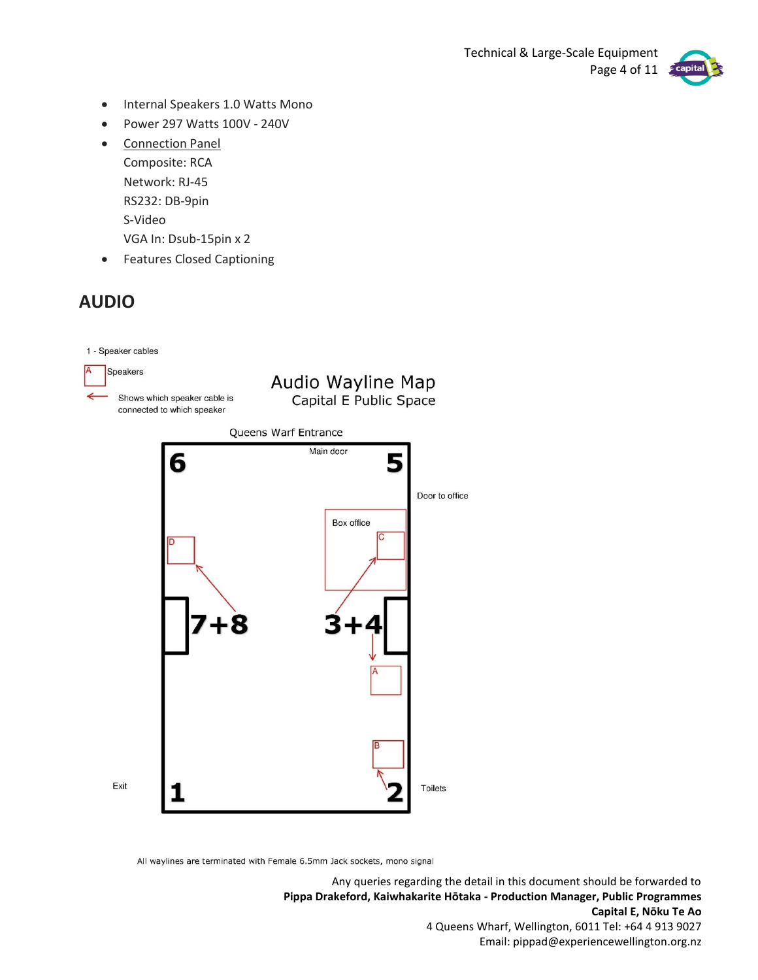

- Internal Speakers 1.0 Watts Mono
- Power 297 Watts 100V 240V
- Connection Panel Composite: RCA Network: RJ-45 RS232: DB-9pin S-Video VGA In: Dsub-15pin x 2
- Features Closed Captioning

# **AUDIO**



All waylines are terminated with Female 6.5mm Jack sockets, mono signal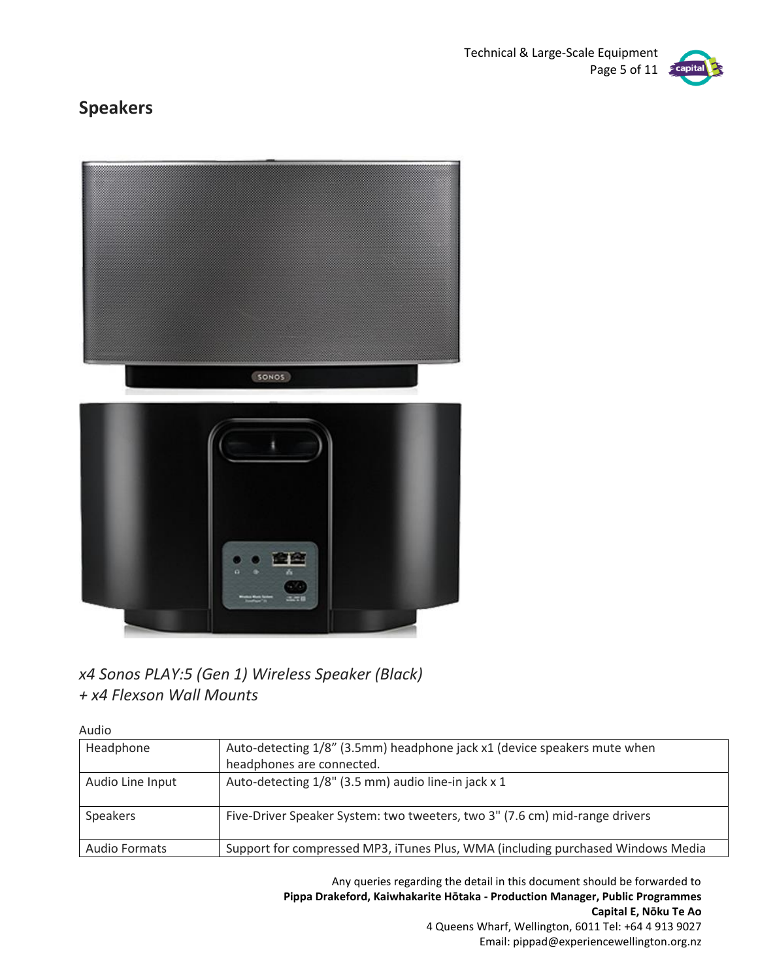

# **Speakers**



## *x4 Sonos PLAY:5 (Gen 1) Wireless Speaker (Black) + x4 Flexson Wall Mounts*

Audio

| Headphone            | Auto-detecting 1/8" (3.5mm) headphone jack x1 (device speakers mute when        |
|----------------------|---------------------------------------------------------------------------------|
|                      | headphones are connected.                                                       |
| Audio Line Input     | Auto-detecting 1/8" (3.5 mm) audio line-in jack x 1                             |
| Speakers             | Five-Driver Speaker System: two tweeters, two 3" (7.6 cm) mid-range drivers     |
| <b>Audio Formats</b> | Support for compressed MP3, iTunes Plus, WMA (including purchased Windows Media |

Any queries regarding the detail in this document should be forwarded to **Pippa Drakeford, Kaiwhakarite Hōtaka - Production Manager, Public Programmes Capital E, Nōku Te Ao** 4 Queens Wharf, Wellington, 6011 Tel: +64 4 913 9027

Email: pippad@experiencewellington.org.nz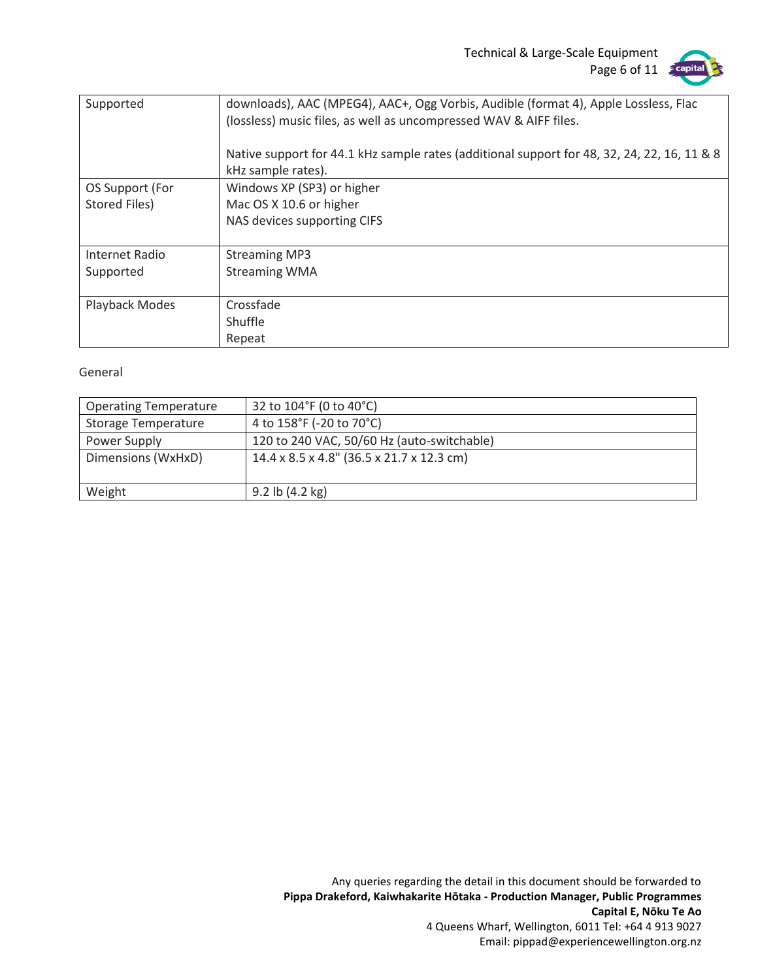Technical & Large-Scale Equipment Page 6 of 11 capital



| Supported       | downloads), AAC (MPEG4), AAC+, Ogg Vorbis, Audible (format 4), Apple Lossless, Flac<br>(lossless) music files, as well as uncompressed WAV & AIFF files. |
|-----------------|----------------------------------------------------------------------------------------------------------------------------------------------------------|
|                 | Native support for 44.1 kHz sample rates (additional support for 48, 32, 24, 22, 16, 11 & 8                                                              |
|                 | kHz sample rates).                                                                                                                                       |
| OS Support (For | Windows XP (SP3) or higher                                                                                                                               |
| Stored Files)   | Mac OS X 10.6 or higher                                                                                                                                  |
|                 | NAS devices supporting CIFS                                                                                                                              |
|                 |                                                                                                                                                          |
| Internet Radio  | <b>Streaming MP3</b>                                                                                                                                     |
| Supported       | <b>Streaming WMA</b>                                                                                                                                     |
|                 |                                                                                                                                                          |
| Playback Modes  | Crossfade                                                                                                                                                |
|                 | Shuffle                                                                                                                                                  |
|                 | Repeat                                                                                                                                                   |

#### General

| <b>Operating Temperature</b> | 32 to 104°F (0 to 40°C)                    |
|------------------------------|--------------------------------------------|
| <b>Storage Temperature</b>   | 4 to 158°F (-20 to 70°C)                   |
| Power Supply                 | 120 to 240 VAC, 50/60 Hz (auto-switchable) |
| Dimensions (WxHxD)           | 14.4 x 8.5 x 4.8" (36.5 x 21.7 x 12.3 cm)  |
|                              |                                            |
| Weight                       | $9.2$ lb $(4.2 \text{ kg})$                |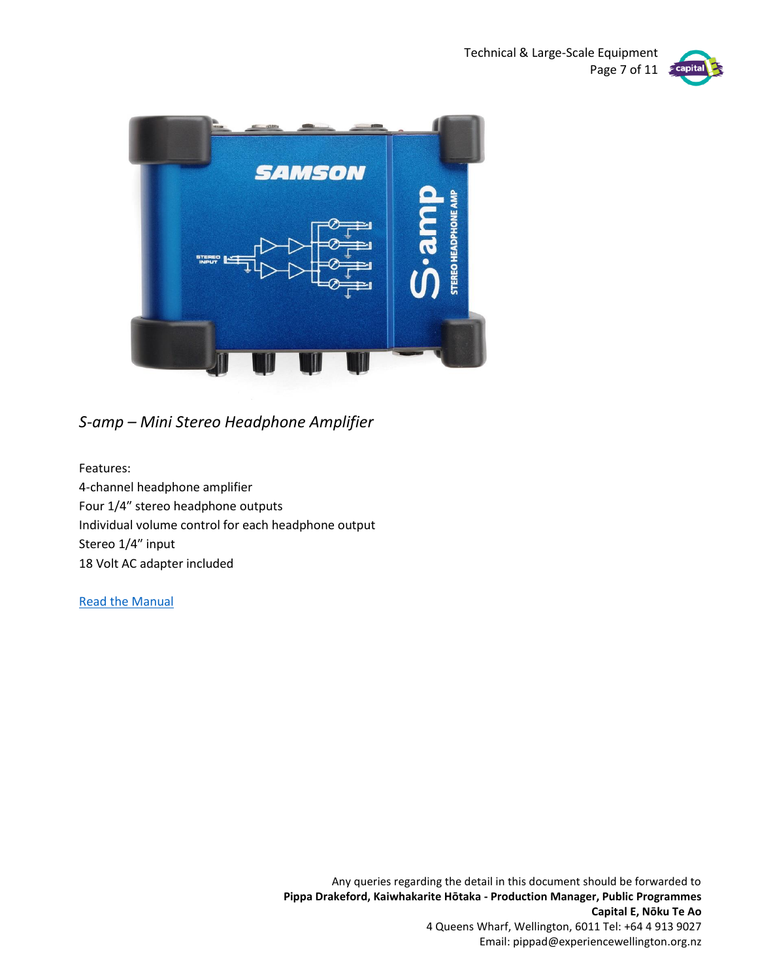Technical & Large-Scale Equipment Page 7 of 11





*S-amp – Mini Stereo Headphone Amplifier*

Features: 4-channel headphone amplifier Four 1/4″ stereo headphone outputs Individual volume control for each headphone output Stereo 1/4″ input 18 Volt AC adapter included

[Read the Manual](file:///C:/Users/pippad/Experience%20Wellington/Capital%20E%20-%20Documents/Common/Public%20Programmes/Equipment%20and%20Instructions/AUDIO/S-amp_ownman%20Manual.pdf)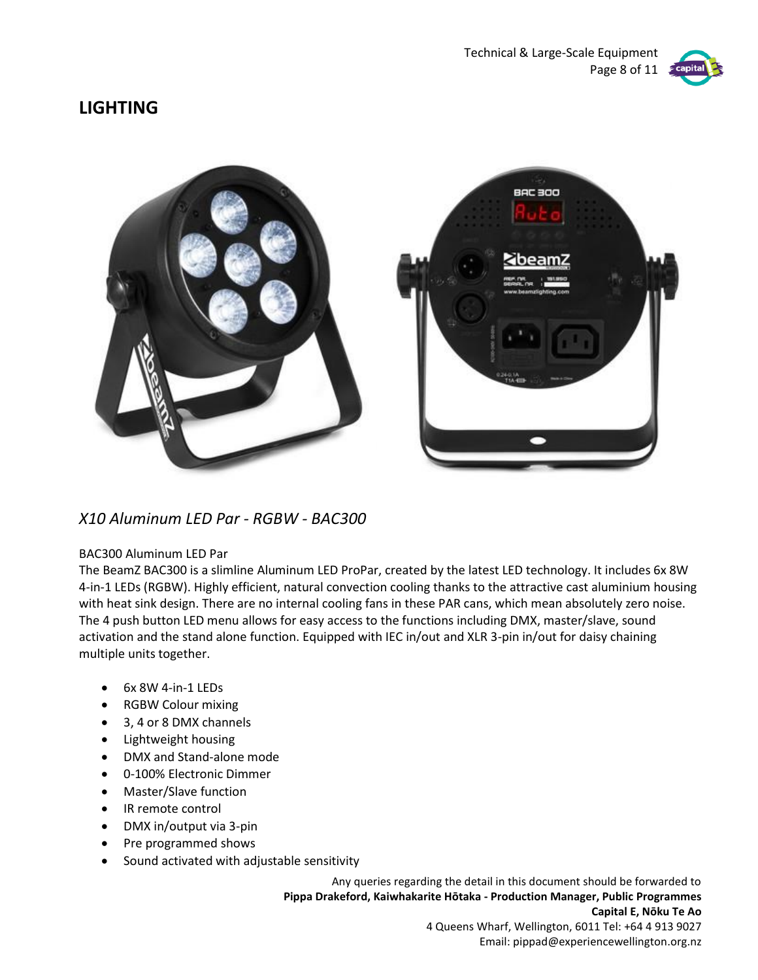

## **LIGHTING**



### *X10 Aluminum LED Par - RGBW - BAC300*

#### BAC300 Aluminum LED Par

The BeamZ BAC300 is a slimline Aluminum LED ProPar, created by the latest LED technology. It includes 6x 8W 4-in-1 LEDs (RGBW). Highly efficient, natural convection cooling thanks to the attractive cast aluminium housing with heat sink design. There are no internal cooling fans in these PAR cans, which mean absolutely zero noise. The 4 push button LED menu allows for easy access to the functions including DMX, master/slave, sound activation and the stand alone function. Equipped with IEC in/out and XLR 3-pin in/out for daisy chaining multiple units together.

- 6x 8W 4-in-1 LEDs
- RGBW Colour mixing
- 3, 4 or 8 DMX channels
- Lightweight housing
- DMX and Stand-alone mode
- 0-100% Electronic Dimmer
- Master/Slave function
- IR remote control
- DMX in/output via 3-pin
- Pre programmed shows
- Sound activated with adjustable sensitivity

Any queries regarding the detail in this document should be forwarded to **Pippa Drakeford, Kaiwhakarite Hōtaka - Production Manager, Public Programmes Capital E, Nōku Te Ao** 4 Queens Wharf, Wellington, 6011 Tel: +64 4 913 9027

Email: pippad@experiencewellington.org.nz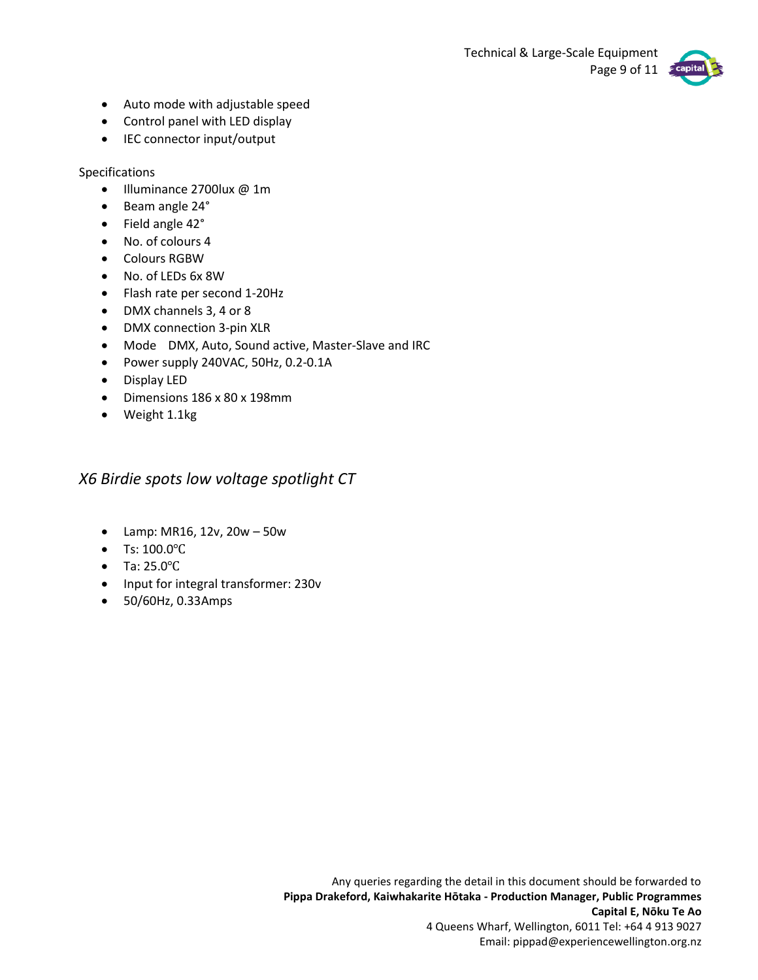Technical & Large-Scale Equipment Page 9 of 11



- Auto mode with adjustable speed
- Control panel with LED display
- IEC connector input/output

Specifications

- Illuminance 2700lux @ 1m
- Beam angle 24°
- Field angle 42°
- No. of colours 4
- Colours RGBW
- No. of LEDs 6x 8W
- Flash rate per second 1-20Hz
- DMX channels 3, 4 or 8
- DMX connection 3-pin XLR
- Mode DMX, Auto, Sound active, Master-Slave and IRC
- Power supply 240VAC, 50Hz, 0.2-0.1A
- Display LED
- Dimensions 186 x 80 x 198mm
- Weight 1.1kg

*X6 Birdie spots low voltage spotlight CT*

- Lamp: MR16, 12v, 20w 50w
- Ts: 100.0℃
- Ta: 25.0℃
- Input for integral transformer: 230v
- 50/60Hz, 0.33Amps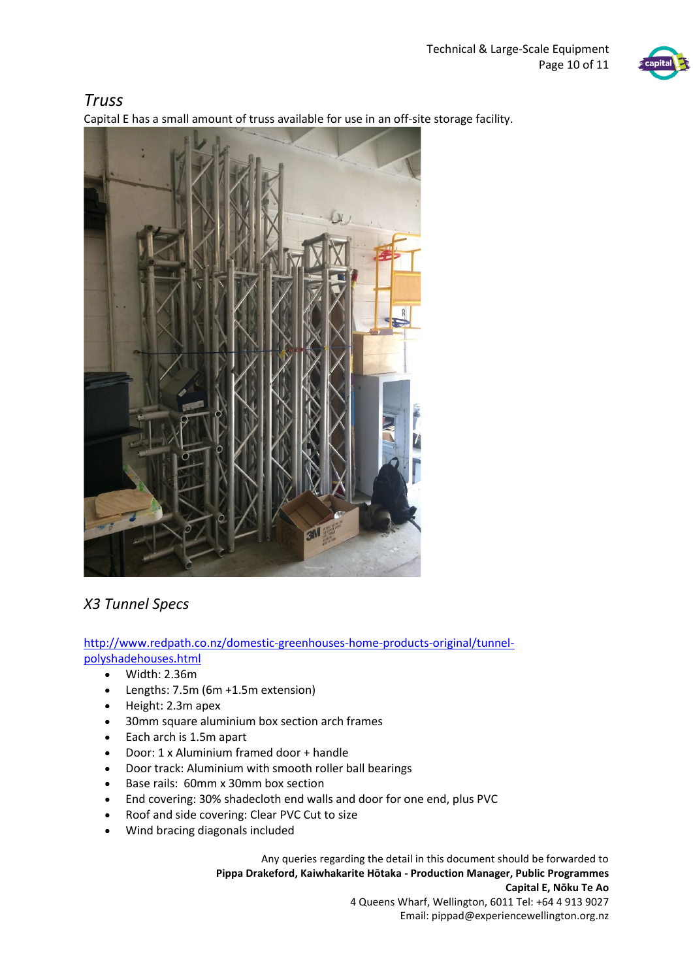

# *Truss*

Capital E has a small amount of truss available for use in an off-site storage facility.



# *X3 Tunnel Specs*

[http://www.redpath.co.nz/domestic-greenhouses-home-products-original/tunnel](http://scanmail.trustwave.com/?c=3818&d=iqG42Ro7MxDyCpKgKbMN1XQnABeR8euwMWpmmDbYNA&u=http%3a%2f%2fwww%2eredpath%2eco%2enz%2fdomestic-greenhouses-home-products-original%2ftunnel-polyshadehouses%2ehtml)[polyshadehouses.html](http://scanmail.trustwave.com/?c=3818&d=iqG42Ro7MxDyCpKgKbMN1XQnABeR8euwMWpmmDbYNA&u=http%3a%2f%2fwww%2eredpath%2eco%2enz%2fdomestic-greenhouses-home-products-original%2ftunnel-polyshadehouses%2ehtml)

- Width: 2.36m
- Lengths: 7.5m (6m +1.5m extension)
- Height: 2.3m apex
- 30mm square aluminium box section arch frames
- Each arch is 1.5m apart
- Door: 1 x Aluminium framed door + handle
- Door track: Aluminium with smooth roller ball bearings
- Base rails:  60mm x 30mm box section
- End covering: 30% shadecloth end walls and door for one end, plus PVC
- Roof and side covering: Clear PVC Cut to size
- Wind bracing diagonals included